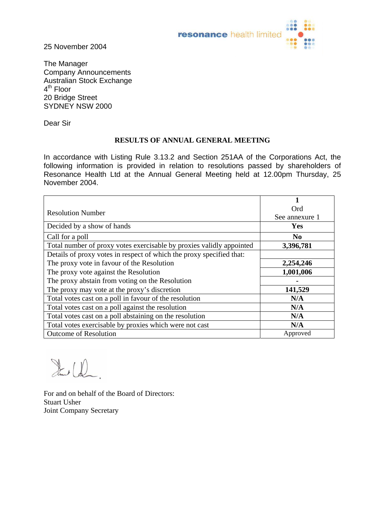

25 November 2004

The Manager Company Announcements Australian Stock Exchange 4<sup>th</sup> Floor 20 Bridge Street SYDNEY NSW 2000

Dear Sir

## **RESULTS OF ANNUAL GENERAL MEETING**

In accordance with Listing Rule 3.13.2 and Section 251AA of the Corporations Act, the following information is provided in relation to resolutions passed by shareholders of Resonance Health Ltd at the Annual General Meeting held at 12.00pm Thursday, 25 November 2004.

| <b>Resolution Number</b>                                             | Ord            |
|----------------------------------------------------------------------|----------------|
|                                                                      | See annexure 1 |
| Decided by a show of hands                                           | Yes            |
| Call for a poll                                                      | N <sub>0</sub> |
| Total number of proxy votes exercisable by proxies validly appointed | 3,396,781      |
| Details of proxy votes in respect of which the proxy specified that: |                |
| The proxy vote in favour of the Resolution                           | 2,254,246      |
| The proxy vote against the Resolution                                | 1,001,006      |
| The proxy abstain from voting on the Resolution                      |                |
| The proxy may vote at the proxy's discretion                         | 141,529        |
| Total votes cast on a poll in favour of the resolution               | N/A            |
| Total votes cast on a poll against the resolution                    | N/A            |
| Total votes cast on a poll abstaining on the resolution              | N/A            |
| Total votes exercisable by proxies which were not cast               | N/A            |
| <b>Outcome of Resolution</b>                                         | Approved       |

Stane (D)

For and on behalf of the Board of Directors: Stuart Usher Joint Company Secretary